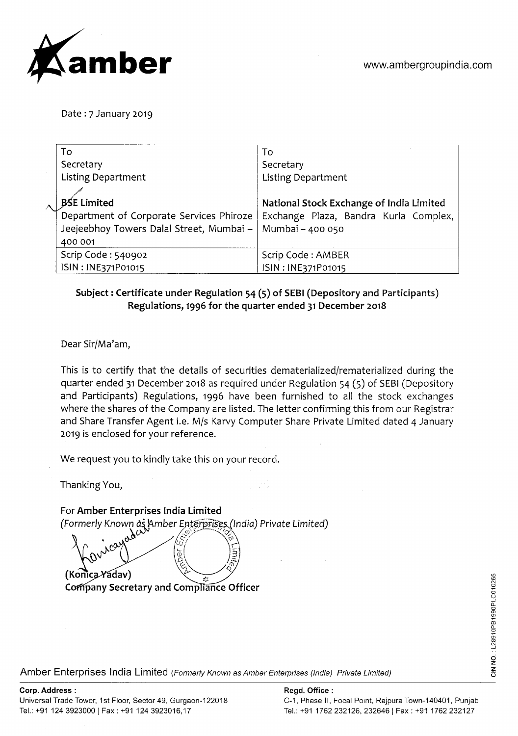

Date : 7 January 2019

| To                                       | To                                       |
|------------------------------------------|------------------------------------------|
| Secretary                                | Secretary                                |
| <b>Listing Department</b>                | <b>Listing Department</b>                |
|                                          |                                          |
| <b>BSE Limited</b>                       | National Stock Exchange of India Limited |
| Department of Corporate Services Phiroze | Exchange Plaza, Bandra Kurla Complex,    |
| Jeejeebhoy Towers Dalal Street, Mumbai - | Mumbai - 400 050                         |
| 400 001                                  |                                          |
| Scrip Code: 540902                       | Scrip Code: AMBER                        |
| ISIN: INE371P01015                       | ISIN: INE371P01015                       |

## **Subject** : **Certificate under Regulation 54 (5) of SEBI (Depository and Participants) Regulations, 1996 for the quarter ended 31 December 2018**

Dear Sir/Ma'am,

This is to certify that the details of securities dematerialized/rematerialized during the quarter ended 31 December 2018 as required under Regulation 54 (5) of SEBI (Depository and Participants) Regulations, 1996 have been furnished to all the stock exchanges where the shares of the Company are listed. The letter confirming this from our Registrar and Share Transfer Agent i.e. M/s Karvy Computer Share Private Limited dated 4 January 2019 is enclosed for your reference.

n, Cha

We request you to kindly take this on your record.

Thanking You,

For **Amber Enterprises India Limited**  Formerly Known as Amber Enterprises (India) Private Limited)<br> **A** (Konica Yadav)  $\mathbb{Z}/\mathbb{Z}$ **Company Secretary and Compliance Officer** 

Amber Enterprises India Limited (Formerly Known as Amber Enterprises (India) Private Limited)